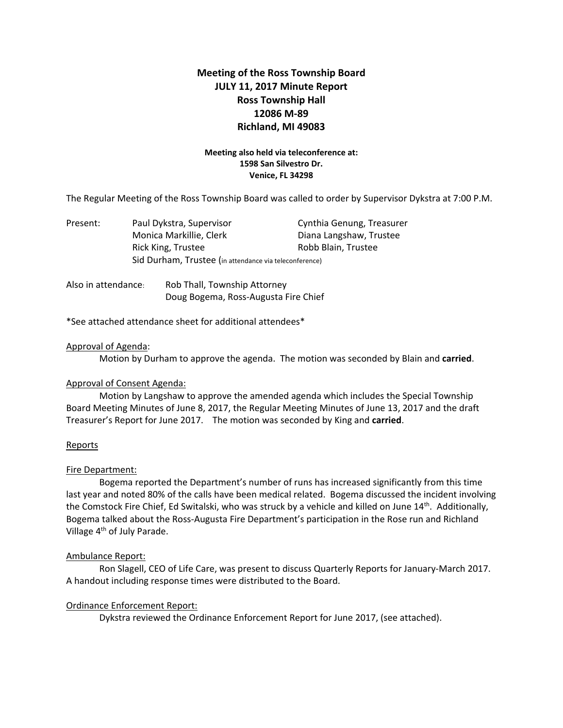# **Meeting of the Ross Township Board JULY 11, 2017 Minute Report Ross Township Hall 12086 M‐89 Richland, MI 49083**

# **Meeting also held via teleconference at: 1598 San Silvestro Dr. Venice, FL 34298**

The Regular Meeting of the Ross Township Board was called to order by Supervisor Dykstra at 7:00 P.M.

| Present: | Paul Dykstra, Supervisor                               | Cynthia Genung, Treasurer |
|----------|--------------------------------------------------------|---------------------------|
|          | Monica Markillie, Clerk                                | Diana Langshaw, Trustee   |
|          | Rick King, Trustee                                     | Robb Blain, Trustee       |
|          | Sid Durham, Trustee (in attendance via teleconference) |                           |
|          |                                                        |                           |

Also in attendance: Rob Thall, Township Attorney Doug Bogema, Ross‐Augusta Fire Chief

\*See attached attendance sheet for additional attendees\*

## Approval of Agenda:

Motion by Durham to approve the agenda. The motion was seconded by Blain and **carried**.

## Approval of Consent Agenda:

Motion by Langshaw to approve the amended agenda which includes the Special Township Board Meeting Minutes of June 8, 2017, the Regular Meeting Minutes of June 13, 2017 and the draft Treasurer's Report for June 2017. The motion was seconded by King and **carried**.

## **Reports**

## Fire Department:

Bogema reported the Department's number of runs has increased significantly from this time last year and noted 80% of the calls have been medical related. Bogema discussed the incident involving the Comstock Fire Chief, Ed Switalski, who was struck by a vehicle and killed on June 14<sup>th</sup>. Additionally, Bogema talked about the Ross‐Augusta Fire Department's participation in the Rose run and Richland Village 4th of July Parade.

## Ambulance Report:

Ron Slagell, CEO of Life Care, was present to discuss Quarterly Reports for January‐March 2017. A handout including response times were distributed to the Board.

## Ordinance Enforcement Report:

Dykstra reviewed the Ordinance Enforcement Report for June 2017, (see attached).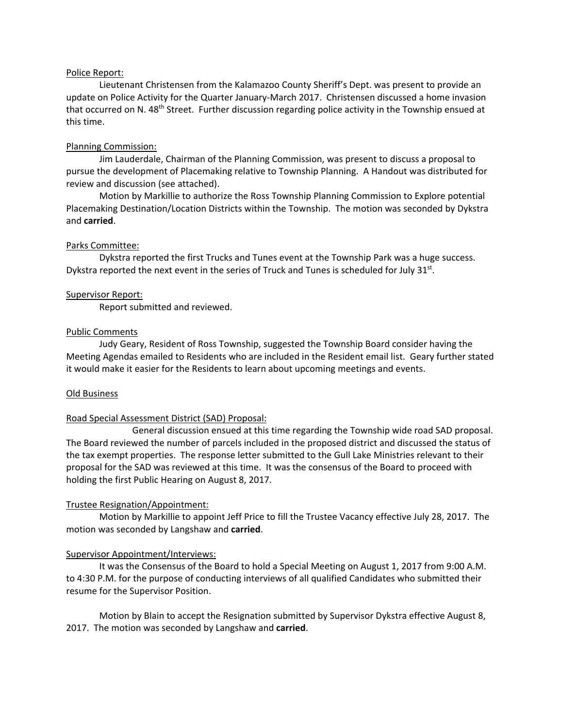## Police Report:

Lieutenant Christensen from the Kalamazoo County Sheriff's Dept. was present to provide an update on Police Activity for the Quarter January-March 2017. Christensen discussed a home invasion that occurred on N. 48<sup>th</sup> Street. Further discussion regarding police activity in the Township ensued at this time.

## Planning Commission:

Jim Lauderdale, Chairman of the Planning Commission, was present to discuss a proposal to pursue the development of Placemaking relative to Township Planning. A Handout was distributed for review and discussion (see attached).

Motion by Markillie to authorize the Ross Township Planning Commission to Explore potential Placemaking Destination/Location Districts within the Township. The motion was seconded by Dykstra and **carried**.

#### Parks Committee:

Dykstra reported the first Trucks and Tunes event at the Township Park was a huge success. Dykstra reported the next event in the series of Truck and Tunes is scheduled for July 31st.

#### Supervisor Report:

Report submitted and reviewed.

#### Public Comments

Judy Geary, Resident of Ross Township, suggested the Township Board consider having the Meeting Agendas emailed to Residents who are included in the Resident email list. Geary further stated it would make it easier for the Residents to learn about upcoming meetings and events.

#### Old Business

## Road Special Assessment District (SAD) Proposal:

 General discussion ensued at this time regarding the Township wide road SAD proposal. The Board reviewed the number of parcels included in the proposed district and discussed the status of the tax exempt properties. The response letter submitted to the Gull Lake Ministries relevant to their proposal for the SAD was reviewed at this time. It was the consensus of the Board to proceed with holding the first Public Hearing on August 8, 2017.

#### Trustee Resignation/Appointment:

Motion by Markillie to appoint Jeff Price to fill the Trustee Vacancy effective July 28, 2017. The motion was seconded by Langshaw and **carried**.

#### Supervisor Appointment/Interviews:

It was the Consensus of the Board to hold a Special Meeting on August 1, 2017 from 9:00 A.M. to 4:30 P.M. for the purpose of conducting interviews of all qualified Candidates who submitted their resume for the Supervisor Position.

Motion by Blain to accept the Resignation submitted by Supervisor Dykstra effective August 8, 2017. The motion was seconded by Langshaw and **carried**.